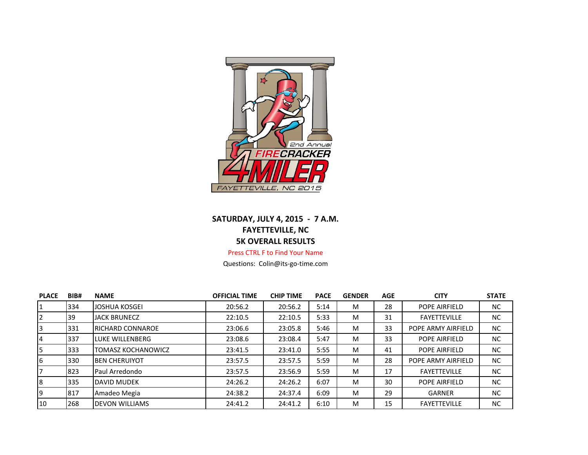

## **SATURDAY, JULY 4, 2015 - 7 A.M. FAYETTEVILLE, NC 5K OVERALL RESULTS**

## Press CTRL F to Find Your Name

Questions: Colin@its-go-time.com

| <b>PLACE</b> | BIB# | <b>NAME</b>              | <b>OFFICIAL TIME</b> | <b>CHIP TIME</b> | <b>PACE</b> | <b>GENDER</b> | <b>AGE</b> | <b>CITY</b>          | <b>STATE</b> |
|--------------|------|--------------------------|----------------------|------------------|-------------|---------------|------------|----------------------|--------------|
|              | 334  | JOSHUA KOSGEI            | 20:56.2              | 20:56.2          | 5:14        | М             | 28         | POPE AIRFIELD        | NC           |
|              | 39   | <b>JACK BRUNECZ</b>      | 22:10.5              | 22:10.5          | 5:33        | M             | 31         | <b>FAYETTEVILLE</b>  | NC           |
|              | 331  | <b>IRICHARD CONNAROE</b> | 23:06.6              | 23:05.8          | 5:46        | м             | 33         | POPE ARMY AIRFIELD   | NC           |
|              | 337  | LUKE WILLENBERG          | 23:08.6              | 23:08.4          | 5:47        | M             | 33         | <b>POPE AIRFIELD</b> | NC.          |
|              | 333  | TOMASZ KOCHANOWICZ       | 23:41.5              | 23:41.0          | 5:55        | м             | 41         | <b>POPE AIRFIELD</b> | <b>NC</b>    |
| 6            | 330  | <b>I</b> BEN CHERUIYOT   | 23:57.5              | 23:57.5          | 5:59        | M             | 28         | POPE ARMY AIRFIELD   | NC.          |
|              | 823  | Paul Arredondo           | 23:57.5              | 23:56.9          | 5:59        | М             | 17         | <b>FAYETTEVILLE</b>  | <b>NC</b>    |
| R.           | 335  | DAVID MUDEK              | 24:26.2              | 24:26.2          | 6:07        | M             | 30         | POPE AIRFIELD        | NC.          |
| ۱q           | 817  | Amadeo Megia             | 24:38.2              | 24:37.4          | 6:09        | М             | 29         | <b>GARNER</b>        | NC.          |
| 10           | 268  | <b>IDEVON WILLIAMS</b>   | 24:41.2              | 24:41.2          | 6:10        | M             | 15         | <b>FAYETTEVILLE</b>  | NC.          |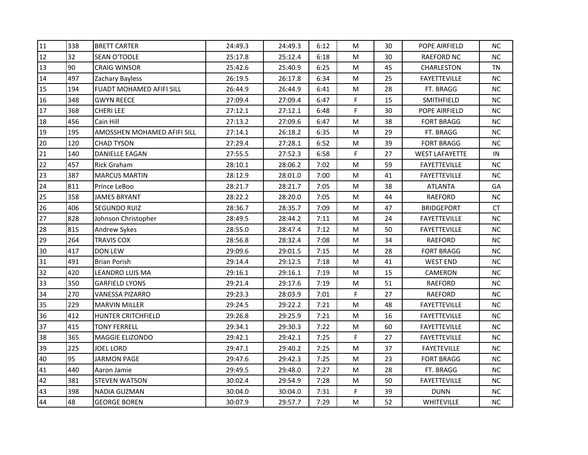| 11 | 338 | <b>BRETT CARTER</b>         | 24:49.3 | 24:49.3 | 6:12 | M         | 30 | POPE AIRFIELD         | NC.       |
|----|-----|-----------------------------|---------|---------|------|-----------|----|-----------------------|-----------|
| 12 | 32  | <b>SEAN O'TOOLE</b>         | 25:17.8 | 25:12.4 | 6:18 | M         | 30 | <b>RAEFORD NC</b>     | NC.       |
| 13 | 90  | <b>CRAIG WINSOR</b>         | 25:42.6 | 25:40.9 | 6:25 | M         | 45 | <b>CHARLESTON</b>     | <b>TN</b> |
| 14 | 497 | Zachary Bayless             | 26:19.5 | 26:17.8 | 6:34 | M         | 25 | <b>FAYETTEVILLE</b>   | NC        |
| 15 | 194 | FUADT MOHAMED AFIFI SILL    | 26:44.9 | 26:44.9 | 6:41 | M         | 28 | FT. BRAGG             | <b>NC</b> |
| 16 | 348 | <b>GWYN REECE</b>           | 27:09.4 | 27:09.4 | 6:47 | F         | 15 | SMITHFIELD            | NC.       |
| 17 | 368 | <b>CHERI LEE</b>            | 27:12.1 | 27:12.1 | 6:48 | F         | 30 | POPE AIRFIELD         | NC.       |
| 18 | 456 | Cain Hill                   | 27:13.2 | 27:09.6 | 6:47 | M         | 38 | <b>FORT BRAGG</b>     | NC        |
| 19 | 195 | AMOSSHEN MOHAMED AFIFI SILL | 27:14.1 | 26:18.2 | 6:35 | M         | 29 | FT. BRAGG             | <b>NC</b> |
| 20 | 120 | <b>CHAD TYSON</b>           | 27:29.4 | 27:28.1 | 6:52 | M         | 39 | <b>FORT BRAGG</b>     | NC.       |
| 21 | 140 | DANIELLE EAGAN              | 27:55.5 | 27:52.3 | 6:58 | F         | 27 | <b>WEST LAFAYETTE</b> | IN        |
| 22 | 457 | <b>Rick Graham</b>          | 28:10.1 | 28:06.2 | 7:02 | M         | 59 | <b>FAYETTEVILLE</b>   | NC.       |
| 23 | 387 | <b>MARCUS MARTIN</b>        | 28:12.9 | 28:01.0 | 7:00 | M         | 41 | <b>FAYETTEVILLE</b>   | NC        |
| 24 | 811 | Prince LeBoo                | 28:21.7 | 28:21.7 | 7:05 | M         | 38 | <b>ATLANTA</b>        | GA        |
| 25 | 358 | JAMES BRYANT                | 28:22.2 | 28:20.0 | 7:05 | M         | 44 | <b>RAEFORD</b>        | NC.       |
| 26 | 406 | SEGUNDO RUIZ                | 28:36.7 | 28:35.7 | 7:09 | M         | 47 | <b>BRIDGEPORT</b>     | CT        |
| 27 | 828 | Johnson Christopher         | 28:49.5 | 28:44.2 | 7:11 | M         | 24 | <b>FAYETTEVILLE</b>   | <b>NC</b> |
| 28 | 815 | Andrew Sykes                | 28:55.0 | 28:47.4 | 7:12 | M         | 50 | <b>FAYETTEVILLE</b>   | NC        |
| 29 | 264 | <b>TRAVIS COX</b>           | 28:56.8 | 28:32.4 | 7:08 | M         | 34 | <b>RAEFORD</b>        | NC.       |
| 30 | 417 | <b>DON LEW</b>              | 29:09.6 | 29:01.5 | 7:15 | M         | 28 | <b>FORT BRAGG</b>     | <b>NC</b> |
| 31 | 491 | Brian Porish                | 29:14.4 | 29:12.5 | 7:18 | M         | 41 | <b>WEST END</b>       | NC        |
| 32 | 420 | LEANDRO LUIS MA             | 29:16.1 | 29:16.1 | 7:19 | М         | 15 | CAMERON               | <b>NC</b> |
| 33 | 350 | <b>GARFIELD LYONS</b>       | 29:21.4 | 29:17.6 | 7:19 | M         | 51 | RAEFORD               | NC        |
| 34 | 270 | <b>VANESSA PIZARRO</b>      | 29:23.3 | 28:03.9 | 7:01 | F         | 27 | RAEFORD               | NC        |
| 35 | 229 | <b>MARVIN MILLER</b>        | 29:24.5 | 29:22.2 | 7:21 | M         | 48 | <b>FAYETTEVILLE</b>   | NC.       |
| 36 | 412 | HUNTER CRITCHFIELD          | 29:26.8 | 29:25.9 | 7:21 | ${\sf M}$ | 16 | <b>FAYETTEVILLE</b>   | NC        |
| 37 | 415 | <b>TONY FERRELL</b>         | 29:34.1 | 29:30.3 | 7:22 | M         | 60 | <b>FAYETTEVILLE</b>   | NC.       |
| 38 | 365 | MAGGIE ELIZONDO             | 29:42.1 | 29:42.1 | 7:25 | F         | 27 | <b>FAYETTEVILLE</b>   | <b>NC</b> |
| 39 | 225 | <b>JOEL LORD</b>            | 29:47.1 | 29:40.2 | 7:25 | M         | 37 | <b>FAYETEVILLE</b>    | NC.       |
| 40 | 95  | <b>JARMON PAGE</b>          | 29:47.6 | 29:42.3 | 7:25 | M         | 23 | <b>FORT BRAGG</b>     | <b>NC</b> |
| 41 | 440 | Aaron Jamie                 | 29:49.5 | 29:48.0 | 7:27 | M         | 28 | FT. BRAGG             | NC.       |
| 42 | 381 | <b>STEVEN WATSON</b>        | 30:02.4 | 29:54.9 | 7:28 | М         | 50 | <b>FAYETTEVILLE</b>   | NC.       |
| 43 | 398 | <b>NADIA GUZMAN</b>         | 30:04.0 | 30:04.0 | 7:31 | F         | 39 | <b>DUNN</b>           | <b>NC</b> |
| 44 | 48  | <b>GEORGE BOREN</b>         | 30:07.9 | 29:57.7 | 7:29 | M         | 52 | WHITEVILLE            | NC        |
|    |     |                             |         |         |      |           |    |                       |           |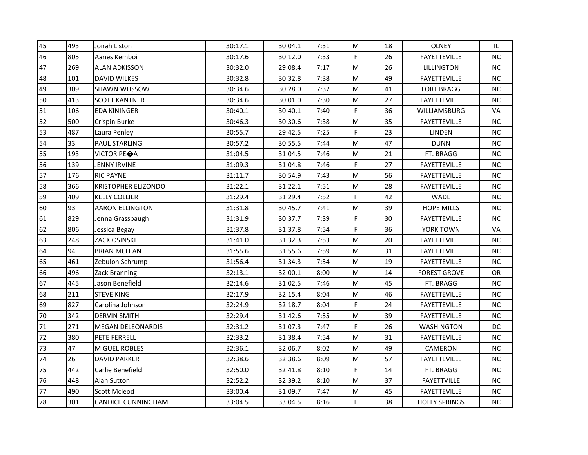| 45 | 493 | Jonah Liston               | 30:17.1 | 30:04.1 | 7:31 | M         | 18 | <b>OLNEY</b>         | IL        |
|----|-----|----------------------------|---------|---------|------|-----------|----|----------------------|-----------|
| 46 | 805 | Aanes Kemboi               | 30:17.6 | 30:12.0 | 7:33 | F         | 26 | <b>FAYETTEVILLE</b>  | $NC$      |
| 47 | 269 | <b>ALAN ADKISSON</b>       | 30:32.0 | 29:08.4 | 7:17 | M         | 26 | <b>LILLINGTON</b>    | NC.       |
| 48 | 101 | <b>DAVID WILKES</b>        | 30:32.8 | 30:32.8 | 7:38 | M         | 49 | <b>FAYETTEVILLE</b>  | <b>NC</b> |
| 49 | 309 | SHAWN WUSSOW               | 30:34.6 | 30:28.0 | 7:37 | M         | 41 | <b>FORT BRAGG</b>    | <b>NC</b> |
| 50 | 413 | <b>SCOTT KANTNER</b>       | 30:34.6 | 30:01.0 | 7:30 | M         | 27 | <b>FAYETTEVILLE</b>  | <b>NC</b> |
| 51 | 106 | <b>EDA KININGER</b>        | 30:40.1 | 30:40.1 | 7:40 | F         | 36 | WILLIAMSBURG         | VA        |
| 52 | 500 | Crispin Burke              | 30:46.3 | 30:30.6 | 7:38 | M         | 35 | <b>FAYETTEVILLE</b>  | <b>NC</b> |
| 53 | 487 | Laura Penley               | 30:55.7 | 29:42.5 | 7:25 | F         | 23 | <b>LINDEN</b>        | <b>NC</b> |
| 54 | 33  | <b>PAUL STARLING</b>       | 30:57.2 | 30:55.5 | 7:44 | ${\sf M}$ | 47 | <b>DUNN</b>          | NC        |
| 55 | 193 | VICTOR PEOA                | 31:04.5 | 31:04.5 | 7:46 | M         | 21 | FT. BRAGG            | NC.       |
| 56 | 139 | <b>JENNY IRVINE</b>        | 31:09.3 | 31:04.8 | 7:46 | F         | 27 | <b>FAYETTEVILLE</b>  | <b>NC</b> |
| 57 | 176 | <b>RIC PAYNE</b>           | 31:11.7 | 30:54.9 | 7:43 | M         | 56 | <b>FAYETTEVILLE</b>  | NC        |
| 58 | 366 | <b>KRISTOPHER ELIZONDO</b> | 31:22.1 | 31:22.1 | 7:51 | ${\sf M}$ | 28 | <b>FAYETTEVILLE</b>  | NC        |
| 59 | 409 | <b>KELLY COLLIER</b>       | 31:29.4 | 31:29.4 | 7:52 | F         | 42 | <b>WADE</b>          | <b>NC</b> |
| 60 | 93  | <b>AARON ELLINGTON</b>     | 31:31.8 | 30:45.7 | 7:41 | M         | 39 | <b>HOPE MILLS</b>    | <b>NC</b> |
| 61 | 829 | Jenna Grassbaugh           | 31:31.9 | 30:37.7 | 7:39 | F         | 30 | <b>FAYETTEVILLE</b>  | <b>NC</b> |
| 62 | 806 | Jessica Begay              | 31:37.8 | 31:37.8 | 7:54 | F         | 36 | YORK TOWN            | VA        |
| 63 | 248 | <b>ZACK OSINSKI</b>        | 31:41.0 | 31:32.3 | 7:53 | M         | 20 | <b>FAYETTEVILLE</b>  | <b>NC</b> |
| 64 | 94  | <b>BRIAN MCLEAN</b>        | 31:55.6 | 31:55.6 | 7:59 | M         | 31 | <b>FAYETTEVILLE</b>  | NC        |
| 65 | 461 | Zebulon Schrump            | 31:56.4 | 31:34.3 | 7:54 | M         | 19 | <b>FAYETTEVILLE</b>  | NC.       |
| 66 | 496 | Zack Branning              | 32:13.1 | 32:00.1 | 8:00 | M         | 14 | <b>FOREST GROVE</b>  | <b>OR</b> |
| 67 | 445 | Jason Benefield            | 32:14.6 | 31:02.5 | 7:46 | M         | 45 | FT. BRAGG            | NC        |
| 68 | 211 | <b>STEVE KING</b>          | 32:17.9 | 32:15.4 | 8:04 | M         | 46 | <b>FAYETTEVILLE</b>  | NC.       |
| 69 | 827 | Carolina Johnson           | 32:24.9 | 32:18.7 | 8:04 | F         | 24 | <b>FAYETTEVILLE</b>  | <b>NC</b> |
| 70 | 342 | <b>DERVIN SMITH</b>        | 32:29.4 | 31:42.6 | 7:55 | M         | 39 | <b>FAYETTEVILLE</b>  | <b>NC</b> |
| 71 | 271 | <b>MEGAN DELEONARDIS</b>   | 32:31.2 | 31:07.3 | 7:47 | F         | 26 | <b>WASHINGTON</b>    | DC        |
| 72 | 380 | PETE FERRELL               | 32:33.2 | 31:38.4 | 7:54 | M         | 31 | <b>FAYETTEVILLE</b>  | NC        |
| 73 | 47  | <b>MIGUEL ROBLES</b>       | 32:36.1 | 32:06.7 | 8:02 | M         | 49 | CAMERON              | NC.       |
| 74 | 26  | <b>DAVID PARKER</b>        | 32:38.6 | 32:38.6 | 8:09 | ${\sf M}$ | 57 | <b>FAYETTEVILLE</b>  | <b>NC</b> |
| 75 | 442 | Carlie Benefield           | 32:50.0 | 32:41.8 | 8:10 | F         | 14 | FT. BRAGG            | NC        |
| 76 | 448 | Alan Sutton                | 32:52.2 | 32:39.2 | 8:10 | M         | 37 | <b>FAYETTVILLE</b>   | NC.       |
| 77 | 490 | <b>Scott Mcleod</b>        | 33:00.4 | 31:09.7 | 7:47 | M         | 45 | <b>FAYETTEVILLE</b>  | $NC$      |
| 78 | 301 | <b>CANDICE CUNNINGHAM</b>  | 33:04.5 | 33:04.5 | 8:16 | F         | 38 | <b>HOLLY SPRINGS</b> | <b>NC</b> |
|    |     |                            |         |         |      |           |    |                      |           |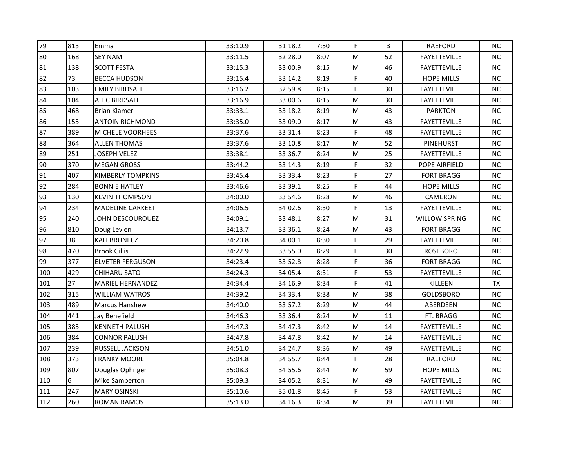| 79  | 813 | Emma                     | 33:10.9 | 31:18.2 | 7:50 | F | 3  | RAEFORD             | NC.       |
|-----|-----|--------------------------|---------|---------|------|---|----|---------------------|-----------|
| 80  | 168 | <b>SEY NAM</b>           | 33:11.5 | 32:28.0 | 8:07 | M | 52 | <b>FAYETTEVILLE</b> | NC        |
| 81  | 138 | <b>SCOTT FESTA</b>       | 33:15.3 | 33:00.9 | 8:15 | M | 46 | <b>FAYETTEVILLE</b> | NC.       |
| 82  | 73  | <b>BECCA HUDSON</b>      | 33:15.4 | 33:14.2 | 8:19 | F | 40 | <b>HOPE MILLS</b>   | NC.       |
| 83  | 103 | <b>EMILY BIRDSALL</b>    | 33:16.2 | 32:59.8 | 8:15 | F | 30 | <b>FAYETTEVILLE</b> | NC        |
| 84  | 104 | <b>ALEC BIRDSALL</b>     | 33:16.9 | 33:00.6 | 8:15 | M | 30 | <b>FAYETTEVILLE</b> | NC.       |
| 85  | 468 | <b>Brian Klamer</b>      | 33:33.1 | 33:18.2 | 8:19 | M | 43 | <b>PARKTON</b>      | NC        |
| 86  | 155 | <b>ANTOIN RICHMOND</b>   | 33:35.0 | 33:09.0 | 8:17 | M | 43 | <b>FAYETTEVILLE</b> | <b>NC</b> |
| 87  | 389 | MICHELE VOORHEES         | 33:37.6 | 33:31.4 | 8:23 | F | 48 | <b>FAYETTEVILLE</b> | NC        |
| 88  | 364 | <b>ALLEN THOMAS</b>      | 33:37.6 | 33:10.8 | 8:17 | M | 52 | PINEHURST           | <b>NC</b> |
| 89  | 251 | JOSEPH VELEZ             | 33:38.1 | 33:36.7 | 8:24 | М | 25 | <b>FAYETTEVILLE</b> | NC.       |
| 90  | 370 | <b>MEGAN GROSS</b>       | 33:44.2 | 33:14.3 | 8:19 | F | 32 | POPE AIRFIELD       | NC        |
| 91  | 407 | <b>KIMBERLY TOMPKINS</b> | 33:45.4 | 33:33.4 | 8:23 | F | 27 | <b>FORT BRAGG</b>   | NC        |
| 92  | 284 | <b>BONNIE HATLEY</b>     | 33:46.6 | 33:39.1 | 8:25 | F | 44 | <b>HOPE MILLS</b>   | NC.       |
| 93  | 130 | <b>KEVIN THOMPSON</b>    | 34:00.0 | 33:54.6 | 8:28 | M | 46 | CAMERON             | NC.       |
| 94  | 234 | <b>MADELINE CARKEET</b>  | 34:06.5 | 34:02.6 | 8:30 | F | 13 | <b>FAYETTEVILLE</b> | NC.       |
| 95  | 240 | JOHN DESCOUROUEZ         | 34:09.1 | 33:48.1 | 8:27 | M | 31 | WILLOW SPRING       | NC.       |
| 96  | 810 | Doug Levien              | 34:13.7 | 33:36.1 | 8:24 | M | 43 | <b>FORT BRAGG</b>   | $NC$      |
| 97  | 38  | <b>KALI BRUNECZ</b>      | 34:20.8 | 34:00.1 | 8:30 | F | 29 | <b>FAYETTEVILLE</b> | <b>NC</b> |
| 98  | 470 | <b>Brook Gillis</b>      | 34:22.9 | 33:55.0 | 8:29 | F | 30 | ROSEBORO            | <b>NC</b> |
| 99  | 377 | <b>ELVETER FERGUSON</b>  | 34:23.4 | 33:52.8 | 8:28 | F | 36 | <b>FORT BRAGG</b>   | NC        |
| 100 | 429 | CHIHARU SATO             | 34:24.3 | 34:05.4 | 8:31 | F | 53 | <b>FAYETTEVILLE</b> | NC        |
| 101 | 27  | <b>MARIEL HERNANDEZ</b>  | 34:34.4 | 34:16.9 | 8:34 | F | 41 | KILLEEN             | <b>TX</b> |
| 102 | 315 | <b>WILLIAM WATROS</b>    | 34:39.2 | 34:33.4 | 8:38 | M | 38 | <b>GOLDSBORO</b>    | NC.       |
| 103 | 489 | <b>Marcus Hanshew</b>    | 34:40.0 | 33:57.2 | 8:29 | M | 44 | ABERDEEN            | <b>NC</b> |
| 104 | 441 | Jay Benefield            | 34:46.3 | 33:36.4 | 8:24 | M | 11 | FT. BRAGG           | NC        |
| 105 | 385 | <b>KENNETH PALUSH</b>    | 34:47.3 | 34:47.3 | 8:42 | M | 14 | <b>FAYETTEVILLE</b> | NC.       |
| 106 | 384 | <b>CONNOR PALUSH</b>     | 34:47.8 | 34:47.8 | 8:42 | M | 14 | <b>FAYETTEVILLE</b> | <b>NC</b> |
| 107 | 239 | <b>RUSSELL JACKSON</b>   | 34:51.0 | 34:24.7 | 8:36 | M | 49 | <b>FAYETTEVILLE</b> | <b>NC</b> |
| 108 | 373 | <b>FRANKY MOORE</b>      | 35:04.8 | 34:55.7 | 8:44 | F | 28 | <b>RAEFORD</b>      | <b>NC</b> |
| 109 | 807 | Douglas Ophnger          | 35:08.3 | 34:55.6 | 8:44 | M | 59 | <b>HOPE MILLS</b>   | <b>NC</b> |
| 110 | 6   | Mike Samperton           | 35:09.3 | 34:05.2 | 8:31 | М | 49 | <b>FAYETTEVILLE</b> | NC.       |
| 111 | 247 | <b>MARY OSINSKI</b>      | 35:10.6 | 35:01.8 | 8:45 | F | 53 | <b>FAYETTEVILLE</b> | <b>NC</b> |
| 112 | 260 | <b>ROMAN RAMOS</b>       | 35:13.0 | 34:16.3 | 8:34 | M | 39 | <b>FAYETTEVILLE</b> | NC        |
|     |     |                          |         |         |      |   |    |                     |           |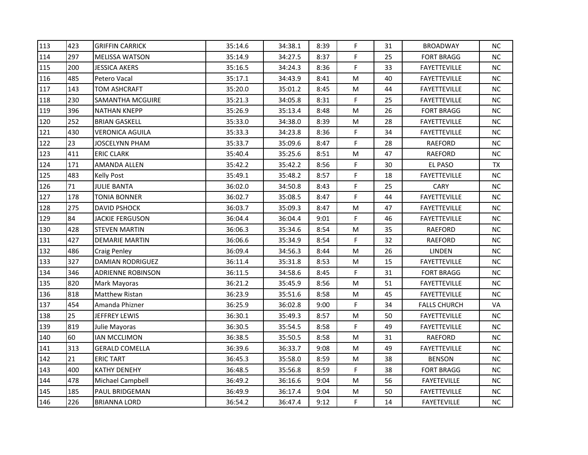| 113 | 423 | <b>GRIFFIN CARRICK</b>   | 35:14.6 | 34:38.1 | 8:39 | F         | 31 | <b>BROADWAY</b>     | NC.       |
|-----|-----|--------------------------|---------|---------|------|-----------|----|---------------------|-----------|
| 114 | 297 | <b>MELISSA WATSON</b>    | 35:14.9 | 34:27.5 | 8:37 | F         | 25 | <b>FORT BRAGG</b>   | <b>NC</b> |
| 115 | 200 | JESSICA AKERS            | 35:16.5 | 34:24.3 | 8:36 | F         | 33 | <b>FAYETTEVILLE</b> | <b>NC</b> |
| 116 | 485 | Petero Vacal             | 35:17.1 | 34:43.9 | 8:41 | M         | 40 | <b>FAYETTEVILLE</b> | <b>NC</b> |
| 117 | 143 | <b>TOM ASHCRAFT</b>      | 35:20.0 | 35:01.2 | 8:45 | M         | 44 | FAYETTEVILLE        | NC.       |
| 118 | 230 | SAMANTHA MCGUIRE         | 35:21.3 | 34:05.8 | 8:31 | F         | 25 | <b>FAYETTEVILLE</b> | NC.       |
| 119 | 396 | <b>NATHAN KNEPP</b>      | 35:26.9 | 35:13.4 | 8:48 | M         | 26 | <b>FORT BRAGG</b>   | NC.       |
| 120 | 252 | <b>BRIAN GASKELL</b>     | 35:33.0 | 34:38.0 | 8:39 | M         | 28 | <b>FAYETTEVILLE</b> | NC        |
| 121 | 430 | <b>VERONICA AGUILA</b>   | 35:33.3 | 34:23.8 | 8:36 | F         | 34 | <b>FAYETTEVILLE</b> | <b>NC</b> |
| 122 | 23  | JOSCELYNN PHAM           | 35:33.7 | 35:09.6 | 8:47 | F         | 28 | <b>RAEFORD</b>      | NC.       |
| 123 | 411 | <b>ERIC CLARK</b>        | 35:40.4 | 35:25.6 | 8:51 | M         | 47 | RAEFORD             | <b>NC</b> |
| 124 | 171 | AMANDA ALLEN             | 35:42.2 | 35:42.2 | 8:56 | F         | 30 | EL PASO             | <b>TX</b> |
| 125 | 483 | <b>Kelly Post</b>        | 35:49.1 | 35:48.2 | 8:57 | F         | 18 | <b>FAYETTEVILLE</b> | $NC$      |
| 126 | 71  | <b>JULIE BANTA</b>       | 36:02.0 | 34:50.8 | 8:43 | F         | 25 | CARY                | NC.       |
| 127 | 178 | TONIA BONNER             | 36:02.7 | 35:08.5 | 8:47 | F         | 44 | <b>FAYETTEVILLE</b> | NC.       |
| 128 | 275 | <b>DAVID PSHOCK</b>      | 36:03.7 | 35:09.3 | 8:47 | M         | 47 | <b>FAYETTEVILLE</b> | NC.       |
| 129 | 84  | <b>JACKIE FERGUSON</b>   | 36:04.4 | 36:04.4 | 9:01 | F         | 46 | <b>FAYETTEVILLE</b> | <b>NC</b> |
| 130 | 428 | <b>STEVEN MARTIN</b>     | 36:06.3 | 35:34.6 | 8:54 | M         | 35 | RAEFORD             | NC        |
| 131 | 427 | <b>DEMARIE MARTIN</b>    | 36:06.6 | 35:34.9 | 8:54 | F         | 32 | <b>RAEFORD</b>      | NC.       |
| 132 | 486 | <b>Craig Penley</b>      | 36:09.4 | 34:56.3 | 8:44 | ${\sf M}$ | 26 | <b>LINDEN</b>       | <b>NC</b> |
| 133 | 327 | <b>DAMIAN RODRIGUEZ</b>  | 36:11.4 | 35:31.8 | 8:53 | M         | 15 | <b>FAYETTEVILLE</b> | NC        |
| 134 | 346 | <b>ADRIENNE ROBINSON</b> | 36:11.5 | 34:58.6 | 8:45 | F         | 31 | <b>FORT BRAGG</b>   | <b>NC</b> |
| 135 | 820 | Mark Mayoras             | 36:21.2 | 35:45.9 | 8:56 | M         | 51 | <b>FAYETTEVILLE</b> | NC        |
| 136 | 818 | Matthew Ristan           | 36:23.9 | 35:51.6 | 8:58 | M         | 45 | <b>FAYETTEVILLE</b> | <b>NC</b> |
| 137 | 454 | Amanda Phizner           | 36:25.9 | 36:02.8 | 9:00 | F.        | 34 | <b>FALLS CHURCH</b> | VA        |
| 138 | 25  | JEFFREY LEWIS            | 36:30.1 | 35:49.3 | 8:57 | M         | 50 | <b>FAYETTEVILLE</b> | <b>NC</b> |
| 139 | 819 | Julie Mayoras            | 36:30.5 | 35:54.5 | 8:58 | F         | 49 | <b>FAYETTEVILLE</b> | NC.       |
| 140 | 60  | <b>IAN MCCLIMON</b>      | 36:38.5 | 35:50.5 | 8:58 | M         | 31 | <b>RAEFORD</b>      | <b>NC</b> |
| 141 | 313 | <b>GERALD COMELLA</b>    | 36:39.6 | 36:33.7 | 9:08 | ${\sf M}$ | 49 | <b>FAYETTEVILLE</b> | <b>NC</b> |
| 142 | 21  | <b>ERIC TART</b>         | 36:45.3 | 35:58.0 | 8:59 | ${\sf M}$ | 38 | <b>BENSON</b>       | <b>NC</b> |
| 143 | 400 | <b>KATHY DENEHY</b>      | 36:48.5 | 35:56.8 | 8:59 | F         | 38 | <b>FORT BRAGG</b>   | NC.       |
| 144 | 478 | Michael Campbell         | 36:49.2 | 36:16.6 | 9:04 | М         | 56 | <b>FAYETEVILLE</b>  | NC.       |
| 145 | 185 | PAUL BRIDGEMAN           | 36:49.9 | 36:17.4 | 9:04 | M         | 50 | <b>FAYETTEVILLE</b> | <b>NC</b> |
| 146 | 226 | <b>BRIANNA LORD</b>      | 36:54.2 | 36:47.4 | 9:12 | F.        | 14 | <b>FAYETEVILLE</b>  | NC        |
|     |     |                          |         |         |      |           |    |                     |           |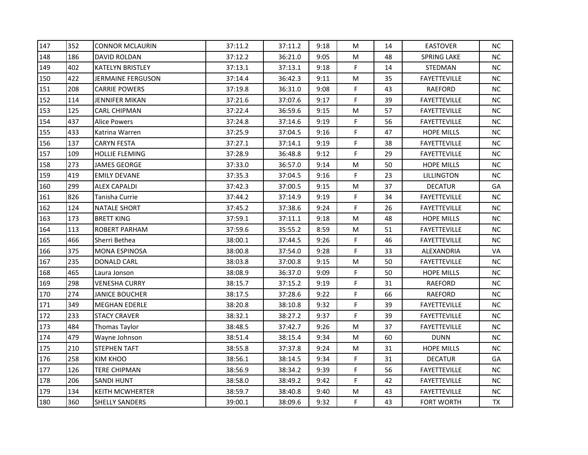| 147 | 352 | <b>CONNOR MCLAURIN</b>  | 37:11.2 | 37:11.2 | 9:18 | M  | 14 | <b>EASTOVER</b>     | NC.       |
|-----|-----|-------------------------|---------|---------|------|----|----|---------------------|-----------|
| 148 | 186 | DAVID ROLDAN            | 37:12.2 | 36:21.0 | 9:05 | М  | 48 | <b>SPRING LAKE</b>  | <b>NC</b> |
| 149 | 402 | <b>KATELYN BRISTLEY</b> | 37:13.1 | 37:13.1 | 9:18 | F  | 14 | <b>STEDMAN</b>      | NC        |
| 150 | 422 | JERMAINE FERGUSON       | 37:14.4 | 36:42.3 | 9:11 | M  | 35 | <b>FAYETTEVILLE</b> | NC.       |
| 151 | 208 | <b>CARRIE POWERS</b>    | 37:19.8 | 36:31.0 | 9:08 | F  | 43 | RAEFORD             | <b>NC</b> |
| 152 | 114 | JENNIFER MIKAN          | 37:21.6 | 37:07.6 | 9:17 | F  | 39 | <b>FAYETTEVILLE</b> | NC.       |
| 153 | 125 | <b>CARL CHIPMAN</b>     | 37:22.4 | 36:59.6 | 9:15 | M  | 57 | <b>FAYETTEVILLE</b> | NC.       |
| 154 | 437 | <b>Alice Powers</b>     | 37:24.8 | 37:14.6 | 9:19 | F  | 56 | <b>FAYETTEVILLE</b> | NC        |
| 155 | 433 | Katrina Warren          | 37:25.9 | 37:04.5 | 9:16 | F  | 47 | <b>HOPE MILLS</b>   | NC.       |
| 156 | 137 | <b>CARYN FESTA</b>      | 37:27.1 | 37:14.1 | 9:19 | F  | 38 | <b>FAYETTEVILLE</b> | NC.       |
| 157 | 109 | HOLLIE FLEMING          | 37:28.9 | 36:48.8 | 9:12 | F  | 29 | <b>FAYETTEVILLE</b> | NC.       |
| 158 | 273 | <b>JAMES GEORGE</b>     | 37:33.0 | 36:57.0 | 9:14 | M  | 50 | <b>HOPE MILLS</b>   | NC.       |
| 159 | 419 | <b>EMILY DEVANE</b>     | 37:35.3 | 37:04.5 | 9:16 | F  | 23 | <b>LILLINGTON</b>   | $NC$      |
| 160 | 299 | ALEX CAPALDI            | 37:42.3 | 37:00.5 | 9:15 | M  | 37 | <b>DECATUR</b>      | GA        |
| 161 | 826 | Tanisha Currie          | 37:44.2 | 37:14.9 | 9:19 | F  | 34 | <b>FAYETTEVILLE</b> | NC.       |
| 162 | 124 | NATALE SHORT            | 37:45.2 | 37:38.6 | 9:24 | F  | 26 | <b>FAYETTEVILLE</b> | NC.       |
| 163 | 173 | <b>BRETT KING</b>       | 37:59.1 | 37:11.1 | 9:18 | M  | 48 | <b>HOPE MILLS</b>   | <b>NC</b> |
| 164 | 113 | <b>ROBERT PARHAM</b>    | 37:59.6 | 35:55.2 | 8:59 | M  | 51 | <b>FAYETTEVILLE</b> | NC        |
| 165 | 466 | Sherri Bethea           | 38:00.1 | 37:44.5 | 9:26 | F  | 46 | <b>FAYETTEVILLE</b> | NC.       |
| 166 | 375 | <b>MONA ESPINOSA</b>    | 38:00.8 | 37:54.0 | 9:28 | F  | 33 | ALEXANDRIA          | VA        |
| 167 | 235 | <b>DONALD CARL</b>      | 38:03.8 | 37:00.8 | 9:15 | M  | 50 | <b>FAYETTEVILLE</b> | NC        |
| 168 | 465 | Laura Jonson            | 38:08.9 | 36:37.0 | 9:09 | F  | 50 | <b>HOPE MILLS</b>   | <b>NC</b> |
| 169 | 298 | <b>VENESHA CURRY</b>    | 38:15.7 | 37:15.2 | 9:19 | F  | 31 | RAEFORD             | NC.       |
| 170 | 274 | JANICE BOUCHER          | 38:17.5 | 37:28.6 | 9:22 | F  | 66 | RAEFORD             | NC.       |
| 171 | 349 | <b>MEGHAN EDERLE</b>    | 38:20.8 | 38:10.8 | 9:32 | F. | 39 | <b>FAYETTEVILLE</b> | NC.       |
| 172 | 233 | <b>STACY CRAVER</b>     | 38:32.1 | 38:27.2 | 9:37 | F  | 39 | <b>FAYETTEVILLE</b> | NC        |
| 173 | 484 | Thomas Taylor           | 38:48.5 | 37:42.7 | 9:26 | M  | 37 | <b>FAYETTEVILLE</b> | NC.       |
| 174 | 479 | Wayne Johnson           | 38:51.4 | 38:15.4 | 9:34 | M  | 60 | <b>DUNN</b>         | NC.       |
| 175 | 210 | <b>STEPHEN TAFT</b>     | 38:55.8 | 37:37.8 | 9:24 | M  | 31 | <b>HOPE MILLS</b>   | NC.       |
| 176 | 258 | <b>KIM KHOO</b>         | 38:56.1 | 38:14.5 | 9:34 | F  | 31 | <b>DECATUR</b>      | GA        |
| 177 | 126 | <b>TERE CHIPMAN</b>     | 38:56.9 | 38:34.2 | 9:39 | F  | 56 | <b>FAYETTEVILLE</b> | NC.       |
| 178 | 206 | SANDI HUNT              | 38:58.0 | 38:49.2 | 9:42 | F  | 42 | <b>FAYETTEVILLE</b> | NC.       |
| 179 | 134 | <b>KEITH MCWHERTER</b>  | 38:59.7 | 38:40.8 | 9:40 | M  | 43 | <b>FAYETTEVILLE</b> | <b>NC</b> |
| 180 | 360 | <b>SHELLY SANDERS</b>   | 39:00.1 | 38:09.6 | 9:32 | F. | 43 | <b>FORT WORTH</b>   | <b>TX</b> |
|     |     |                         |         |         |      |    |    |                     |           |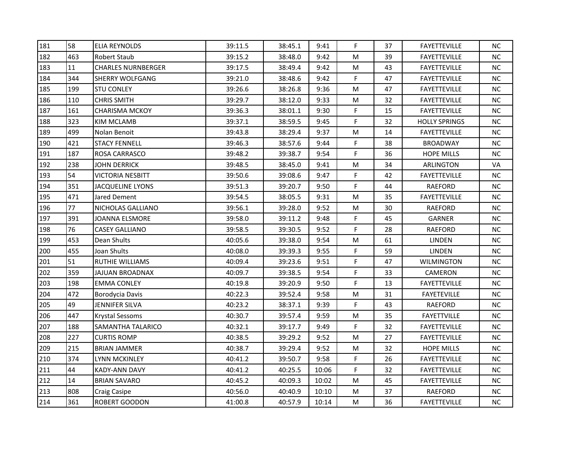| 181 | 58  | <b>ELIA REYNOLDS</b>      | 39:11.5 | 38:45.1 | 9:41  | F         | 37 | <b>FAYETTEVILLE</b>  | NC.       |
|-----|-----|---------------------------|---------|---------|-------|-----------|----|----------------------|-----------|
| 182 | 463 | Robert Staub              | 39:15.2 | 38:48.0 | 9:42  | M         | 39 | <b>FAYETTEVILLE</b>  | NC.       |
| 183 | 11  | <b>CHARLES NURNBERGER</b> | 39:17.5 | 38:49.4 | 9:42  | M         | 43 | <b>FAYETTEVILLE</b>  | NC.       |
| 184 | 344 | SHERRY WOLFGANG           | 39:21.0 | 38:48.6 | 9:42  | F         | 47 | <b>FAYETTEVILLE</b>  | NC.       |
| 185 | 199 | <b>STU CONLEY</b>         | 39:26.6 | 38:26.8 | 9:36  | M         | 47 | <b>FAYETTEVILLE</b>  | NC        |
| 186 | 110 | <b>CHRIS SMITH</b>        | 39:29.7 | 38:12.0 | 9:33  | M         | 32 | <b>FAYETTEVILLE</b>  | NC.       |
| 187 | 161 | <b>CHARISMA MCKOY</b>     | 39:36.3 | 38:01.1 | 9:30  | F         | 15 | <b>FAYETTEVILLE</b>  | <b>NC</b> |
| 188 | 323 | <b>KIM MCLAMB</b>         | 39:37.1 | 38:59.5 | 9:45  | F         | 32 | <b>HOLLY SPRINGS</b> | <b>NC</b> |
| 189 | 499 | Nolan Benoit              | 39:43.8 | 38:29.4 | 9:37  | ${\sf M}$ | 14 | <b>FAYETTEVILLE</b>  | NC        |
| 190 | 421 | <b>STACY FENNELL</b>      | 39:46.3 | 38:57.6 | 9:44  | F         | 38 | <b>BROADWAY</b>      | <b>NC</b> |
| 191 | 187 | ROSA CARRASCO             | 39:48.2 | 39:38.7 | 9:54  | F         | 36 | <b>HOPE MILLS</b>    | NC.       |
| 192 | 238 | <b>JOHN DERRICK</b>       | 39:48.5 | 38:45.0 | 9:41  | M         | 34 | <b>ARLINGTON</b>     | VA        |
| 193 | 54  | <b>VICTORIA NESBITT</b>   | 39:50.6 | 39:08.6 | 9:47  | F.        | 42 | <b>FAYETTEVILLE</b>  | <b>NC</b> |
| 194 | 351 | <b>JACQUELINE LYONS</b>   | 39:51.3 | 39:20.7 | 9:50  | F         | 44 | RAEFORD              | NC.       |
| 195 | 471 | Jared Dement              | 39:54.5 | 38:05.5 | 9:31  | M         | 35 | <b>FAYETTEVILLE</b>  | <b>NC</b> |
| 196 | 77  | NICHOLAS GALLIANO         | 39:56.1 | 39:28.0 | 9:52  | M         | 30 | RAEFORD              | NC.       |
| 197 | 391 | JOANNA ELSMORE            | 39:58.0 | 39:11.2 | 9:48  | F         | 45 | GARNER               | NC.       |
| 198 | 76  | <b>CASEY GALLIANO</b>     | 39:58.5 | 39:30.5 | 9:52  | F         | 28 | RAEFORD              | NC        |
| 199 | 453 | Dean Shults               | 40:05.6 | 39:38.0 | 9:54  | ${\sf M}$ | 61 | <b>LINDEN</b>        | NC.       |
| 200 | 455 | Joan Shults               | 40:08.0 | 39:39.3 | 9:55  | F         | 59 | <b>LINDEN</b>        | NC.       |
| 201 | 51  | RUTHIE WILLIAMS           | 40:09.4 | 39:23.6 | 9:51  | F         | 47 | <b>WILMINGTON</b>    | NC.       |
| 202 | 359 | <b>JAJUAN BROADNAX</b>    | 40:09.7 | 39:38.5 | 9:54  | F         | 33 | CAMERON              | NC        |
| 203 | 198 | <b>EMMA CONLEY</b>        | 40:19.8 | 39:20.9 | 9:50  | F         | 13 | <b>FAYETTEVILLE</b>  | NC        |
| 204 | 472 | Borodycia Davis           | 40:22.3 | 39:52.4 | 9:58  | M         | 31 | <b>FAYETEVILLE</b>   | NC.       |
| 205 | 49  | <b>JENNIFER SILVA</b>     | 40:23.2 | 38:37.1 | 9:39  | F         | 43 | <b>RAEFORD</b>       | <b>NC</b> |
| 206 | 447 | <b>Krystal Sessoms</b>    | 40:30.7 | 39:57.4 | 9:59  | M         | 35 | <b>FAYETTVILLE</b>   | NC        |
| 207 | 188 | SAMANTHA TALARICO         | 40:32.1 | 39:17.7 | 9:49  | F         | 32 | <b>FAYETTEVILLE</b>  | NC.       |
| 208 | 227 | <b>CURTIS ROMP</b>        | 40:38.5 | 39:29.2 | 9:52  | M         | 27 | <b>FAYETTEVILLE</b>  | <b>NC</b> |
| 209 | 215 | <b>BRIAN JAMMER</b>       | 40:38.7 | 39:29.4 | 9:52  | M         | 32 | <b>HOPE MILLS</b>    | <b>NC</b> |
| 210 | 374 | LYNN MCKINLEY             | 40:41.2 | 39:50.7 | 9:58  | F         | 26 | <b>FAYETTEVILLE</b>  | <b>NC</b> |
| 211 | 44  | <b>KADY-ANN DAVY</b>      | 40:41.2 | 40:25.5 | 10:06 | F         | 32 | <b>FAYETTEVILLE</b>  | <b>NC</b> |
| 212 | 14  | <b>BRIAN SAVARO</b>       | 40:45.2 | 40:09.3 | 10:02 | М         | 45 | <b>FAYETTEVILLE</b>  | NC.       |
| 213 | 808 | <b>Craig Casipe</b>       | 40:56.0 | 40:40.9 | 10:10 | M         | 37 | RAEFORD              | <b>NC</b> |
| 214 | 361 | ROBERT GOODON             | 41:00.8 | 40:57.9 | 10:14 | M         | 36 | <b>FAYETTEVILLE</b>  | NC        |
|     |     |                           |         |         |       |           |    |                      |           |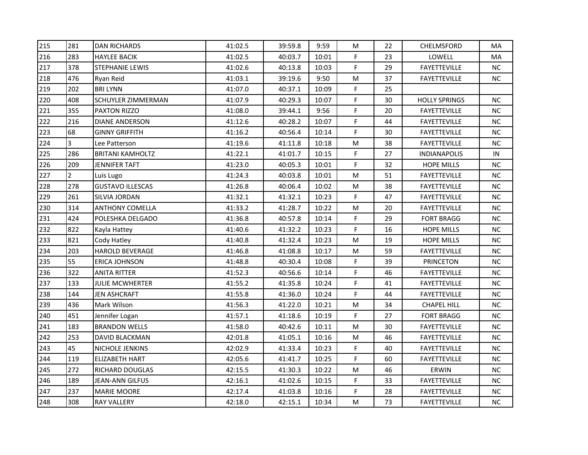| 215 | 281            | <b>DAN RICHARDS</b>     | 41:02.5 | 39:59.8 | 9:59  | М         | 22 | <b>CHELMSFORD</b>    | MA        |
|-----|----------------|-------------------------|---------|---------|-------|-----------|----|----------------------|-----------|
| 216 | 283            | <b>HAYLEE BACIK</b>     | 41:02.5 | 40:03.7 | 10:01 | F         | 23 | LOWELL               | MA        |
| 217 | 378            | <b>STEPHANIE LEWIS</b>  | 41:02.6 | 40:13.8 | 10:03 | F         | 29 | <b>FAYETTEVILLE</b>  | NC        |
| 218 | 476            | Ryan Reid               | 41:03.1 | 39:19.6 | 9:50  | M         | 37 | <b>FAYETTEVILLE</b>  | NC.       |
| 219 | 202            | <b>BRILYNN</b>          | 41:07.0 | 40:37.1 | 10:09 | F         | 25 |                      |           |
| 220 | 408            | SCHUYLER ZIMMERMAN      | 41:07.9 | 40:29.3 | 10:07 | F         | 30 | <b>HOLLY SPRINGS</b> | NC.       |
| 221 | 355            | PAXTON RIZZO            | 41:08.0 | 39:44.1 | 9:56  | F         | 20 | <b>FAYETTEVILLE</b>  | NC.       |
| 222 | 216            | <b>DIANE ANDERSON</b>   | 41:12.6 | 40:28.2 | 10:07 | F         | 44 | <b>FAYETTEVILLE</b>  | NC        |
| 223 | 68             | <b>GINNY GRIFFITH</b>   | 41:16.2 | 40:56.4 | 10:14 | F         | 30 | <b>FAYETTEVILLE</b>  | NC.       |
| 224 | 3              | Lee Patterson           | 41:19.6 | 41:11.8 | 10:18 | M         | 38 | <b>FAYETTEVILLE</b>  | NC.       |
| 225 | 286            | <b>BRITANI KAMHOLTZ</b> | 41:22.1 | 41:01.7 | 10:15 | F         | 27 | <b>INDIANAPOLIS</b>  | IN        |
| 226 | 209            | <b>JENNIFER TAFT</b>    | 41:23.0 | 40:05.3 | 10:01 | F         | 32 | <b>HOPE MILLS</b>    | NC.       |
| 227 | $\overline{2}$ | Luis Lugo               | 41:24.3 | 40:03.8 | 10:01 | M         | 51 | <b>FAYETTEVILLE</b>  | $NC$      |
| 228 | 278            | <b>GUSTAVO ILLESCAS</b> | 41:26.8 | 40:06.4 | 10:02 | M         | 38 | <b>FAYETTEVILLE</b>  | NC.       |
| 229 | 261            | SILVIA JORDAN           | 41:32.1 | 41:32.1 | 10:23 | F         | 47 | <b>FAYETTEVILLE</b>  | NC.       |
| 230 | 314            | <b>ANTHONY COMELLA</b>  | 41:33.2 | 41:28.7 | 10:22 | M         | 20 | <b>FAYETTEVILLE</b>  | NC.       |
| 231 | 424            | POLESHKA DELGADO        | 41:36.8 | 40:57.8 | 10:14 | F         | 29 | <b>FORT BRAGG</b>    | <b>NC</b> |
| 232 | 822            | Kayla Hattey            | 41:40.6 | 41:32.2 | 10:23 | F         | 16 | HOPE MILLS           | NC        |
| 233 | 821            | Cody Hatley             | 41:40.8 | 41:32.4 | 10:23 | M         | 19 | <b>HOPE MILLS</b>    | NC.       |
| 234 | 203            | <b>HAROLD BEVERAGE</b>  | 41:46.8 | 41:08.8 | 10:17 | ${\sf M}$ | 59 | <b>FAYETTEVILLE</b>  | <b>NC</b> |
| 235 | 55             | ERICA JOHNSON           | 41:48.8 | 40:30.4 | 10:08 | F         | 39 | <b>PRINCETON</b>     | NC        |
| 236 | 322            | <b>ANITA RITTER</b>     | 41:52.3 | 40:56.6 | 10:14 | F         | 46 | <b>FAYETTEVILLE</b>  | <b>NC</b> |
| 237 | 133            | <b>JULIE MCWHERTER</b>  | 41:55.2 | 41:35.8 | 10:24 | F         | 41 | <b>FAYETTEVILLE</b>  | NC        |
| 238 | 144            | JEN ASHCRAFT            | 41:55.8 | 41:36.0 | 10:24 | F         | 44 | <b>FAYETTEVILLE</b>  | NC        |
| 239 | 436            | Mark Wilson             | 41:56.3 | 41:22.0 | 10:21 | M         | 34 | <b>CHAPEL HILL</b>   | NC.       |
| 240 | 451            | Jennifer Logan          | 41:57.1 | 41:18.6 | 10:19 | F         | 27 | <b>FORT BRAGG</b>    | NC        |
| 241 | 183            | <b>BRANDON WELLS</b>    | 41:58.0 | 40:42.6 | 10:11 | M         | 30 | <b>FAYETTEVILLE</b>  | NC.       |
| 242 | 253            | <b>DAVID BLACKMAN</b>   | 42:01.8 | 41:05.1 | 10:16 | M         | 46 | <b>FAYETTEVILLE</b>  | <b>NC</b> |
| 243 | 45             | NICHOLE JENKINS         | 42:02.9 | 41:33.4 | 10:23 | F         | 40 | <b>FAYETTEVILLE</b>  | NC.       |
| 244 | 119            | <b>ELIZABETH HART</b>   | 42:05.6 | 41:41.7 | 10:25 | F         | 60 | <b>FAYETTEVILLE</b>  | <b>NC</b> |
| 245 | 272            | RICHARD DOUGLAS         | 42:15.5 | 41:30.3 | 10:22 | ${\sf M}$ | 46 | ERWIN                | NC.       |
| 246 | 189            | JEAN-ANN GILFUS         | 42:16.1 | 41:02.6 | 10:15 | F         | 33 | <b>FAYETTEVILLE</b>  | NC.       |
| 247 | 237            | <b>MARIE MOORE</b>      | 42:17.4 | 41:03.8 | 10:16 | F         | 28 | <b>FAYETTEVILLE</b>  | <b>NC</b> |
| 248 | 308            | <b>RAY VALLERY</b>      | 42:18.0 | 42:15.1 | 10:34 | M         | 73 | <b>FAYETTEVILLE</b>  | NC        |
|     |                |                         |         |         |       |           |    |                      |           |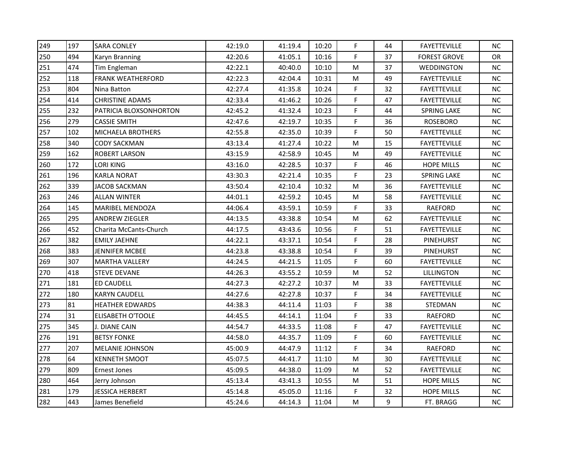| 249 | 197 | <b>SARA CONLEY</b>       | 42:19.0 | 41:19.4 | 10:20 | F.        | 44 | <b>FAYETTEVILLE</b> | <b>NC</b> |
|-----|-----|--------------------------|---------|---------|-------|-----------|----|---------------------|-----------|
| 250 | 494 | Karyn Branning           | 42:20.6 | 41:05.1 | 10:16 | F         | 37 | <b>FOREST GROVE</b> | OR        |
| 251 | 474 | Tim Engleman             | 42:22.1 | 40:40.0 | 10:10 | M         | 37 | WEDDINGTON          | NC.       |
| 252 | 118 | <b>FRANK WEATHERFORD</b> | 42:22.3 | 42:04.4 | 10:31 | M         | 49 | <b>FAYETTEVILLE</b> | NC.       |
| 253 | 804 | Nina Batton              | 42:27.4 | 41:35.8 | 10:24 | F         | 32 | <b>FAYETTEVILLE</b> | NC        |
| 254 | 414 | <b>CHRISTINE ADAMS</b>   | 42:33.4 | 41:46.2 | 10:26 | F.        | 47 | <b>FAYETTEVILLE</b> | NC.       |
| 255 | 232 | PATRICIA BLOXSONHORTON   | 42:45.2 | 41:32.4 | 10:23 | F         | 44 | <b>SPRING LAKE</b>  | <b>NC</b> |
| 256 | 279 | <b>CASSIE SMITH</b>      | 42:47.6 | 42:19.7 | 10:35 | F         | 36 | <b>ROSEBORO</b>     | <b>NC</b> |
| 257 | 102 | MICHAELA BROTHERS        | 42:55.8 | 42:35.0 | 10:39 | F         | 50 | <b>FAYETTEVILLE</b> | <b>NC</b> |
| 258 | 340 | <b>CODY SACKMAN</b>      | 43:13.4 | 41:27.4 | 10:22 | ${\sf M}$ | 15 | <b>FAYETTEVILLE</b> | <b>NC</b> |
| 259 | 162 | <b>ROBERT LARSON</b>     | 43:15.9 | 42:58.9 | 10:45 | М         | 49 | <b>FAYETTEVILLE</b> | NC.       |
| 260 | 172 | <b>LORI KING</b>         | 43:16.0 | 42:28.5 | 10:37 | F         | 46 | <b>HOPE MILLS</b>   | <b>NC</b> |
| 261 | 196 | <b>KARLA NORAT</b>       | 43:30.3 | 42:21.4 | 10:35 | F         | 23 | <b>SPRING LAKE</b>  | NC        |
| 262 | 339 | <b>JACOB SACKMAN</b>     | 43:50.4 | 42:10.4 | 10:32 | M         | 36 | <b>FAYETTEVILLE</b> | NC.       |
| 263 | 246 | <b>ALLAN WINTER</b>      | 44:01.1 | 42:59.2 | 10:45 | M         | 58 | <b>FAYETTEVILLE</b> | ΝC        |
| 264 | 145 | <b>MARIBEL MENDOZA</b>   | 44:06.4 | 43:59.1 | 10:59 | F         | 33 | RAEFORD             | NC.       |
| 265 | 295 | <b>ANDREW ZIEGLER</b>    | 44:13.5 | 43:38.8 | 10:54 | M         | 62 | FAYETTEVILLE        | NC.       |
| 266 | 452 | Charita McCants-Church   | 44:17.5 | 43:43.6 | 10:56 | F         | 51 | <b>FAYETTEVILLE</b> | NC        |
| 267 | 382 | <b>EMILY JAEHNE</b>      | 44:22.1 | 43:37.1 | 10:54 | F         | 28 | <b>PINEHURST</b>    | NC.       |
| 268 | 383 | <b>JENNIFER MCBEE</b>    | 44:23.8 | 43:38.8 | 10:54 | F         | 39 | PINEHURST           | <b>NC</b> |
| 269 | 307 | <b>MARTHA VALLERY</b>    | 44:24.5 | 44:21.5 | 11:05 | F         | 60 | <b>FAYETTEVILLE</b> | <b>NC</b> |
| 270 | 418 | <b>STEVE DEVANE</b>      | 44:26.3 | 43:55.2 | 10:59 | M         | 52 | LILLINGTON          | NC        |
| 271 | 181 | <b>ED CAUDELL</b>        | 44:27.3 | 42:27.2 | 10:37 | M         | 33 | <b>FAYETTEVILLE</b> | <b>NC</b> |
| 272 | 180 | <b>KARYN CAUDELL</b>     | 44:27.6 | 42:27.8 | 10:37 | F         | 34 | <b>FAYETTEVILLE</b> | NC.       |
| 273 | 81  | HEATHER EDWARDS          | 44:38.3 | 44:11.4 | 11:03 | F         | 38 | STEDMAN             | <b>NC</b> |
| 274 | 31  | ELISABETH O'TOOLE        | 44:45.5 | 44:14.1 | 11:04 | F         | 33 | RAEFORD             | NC        |
| 275 | 345 | J. DIANE CAIN            | 44:54.7 | 44:33.5 | 11:08 | F         | 47 | <b>FAYETTEVILLE</b> | NC.       |
| 276 | 191 | <b>BETSY FONKE</b>       | 44:58.0 | 44:35.7 | 11:09 | F         | 60 | <b>FAYETTEVILLE</b> | <b>NC</b> |
| 277 | 207 | <b>MELANIE JOHNSON</b>   | 45:00.9 | 44:47.9 | 11:12 | F         | 34 | RAEFORD             | <b>NC</b> |
| 278 | 64  | <b>KENNETH SMOOT</b>     | 45:07.5 | 44:41.7 | 11:10 | ${\sf M}$ | 30 | <b>FAYETTEVILLE</b> | <b>NC</b> |
| 279 | 809 | <b>Ernest Jones</b>      | 45:09.5 | 44:38.0 | 11:09 | M         | 52 | <b>FAYETTEVILLE</b> | <b>NC</b> |
| 280 | 464 | Jerry Johnson            | 45:13.4 | 43:41.3 | 10:55 | М         | 51 | <b>HOPE MILLS</b>   | NC.       |
| 281 | 179 | <b>JESSICA HERBERT</b>   | 45:14.8 | 45:05.0 | 11:16 | F.        | 32 | <b>HOPE MILLS</b>   | <b>NC</b> |
| 282 | 443 | James Benefield          | 45:24.6 | 44:14.3 | 11:04 | M         | 9  | FT. BRAGG           | NC        |
|     |     |                          |         |         |       |           |    |                     |           |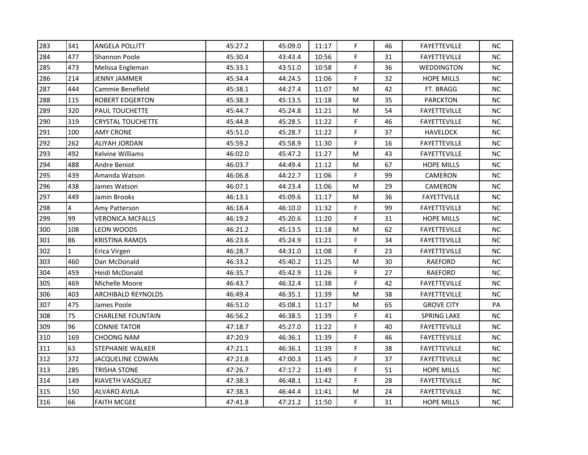| 283 | 341          | <b>ANGELA POLLITT</b>     | 45:27.2 | 45:09.0 | 11:17 | F         | 46 | <b>FAYETTEVILLE</b> | ΝC        |
|-----|--------------|---------------------------|---------|---------|-------|-----------|----|---------------------|-----------|
| 284 | 477          | Shannon Poole             | 45:30.4 | 43:43.4 | 10:56 | F         | 31 | <b>FAYETTEVILLE</b> | NC.       |
| 285 | 473          | Melissa Engleman          | 45:33.1 | 43:51.0 | 10:58 | F         | 36 | <b>WEDDINGTON</b>   | NC.       |
| 286 | 214          | JENNY JAMMER              | 45:34.4 | 44:24.5 | 11:06 | F         | 32 | <b>HOPE MILLS</b>   | NC.       |
| 287 | 444          | Cammie Benefield          | 45:38.1 | 44:27.4 | 11:07 | M         | 42 | FT. BRAGG           | NC        |
| 288 | 115          | <b>ROBERT EDGERTON</b>    | 45:38.3 | 45:13.5 | 11:18 | M         | 35 | <b>PARCKTON</b>     | ΝC        |
| 289 | 320          | PAUL TOUCHETTE            | 45:44.7 | 45:24.8 | 11:21 | M         | 54 | <b>FAYETTEVILLE</b> | <b>NC</b> |
| 290 | 319          | <b>CRYSTAL TOUCHETTE</b>  | 45:44.8 | 45:28.5 | 11:22 | F         | 46 | <b>FAYETTEVILLE</b> | <b>NC</b> |
| 291 | 100          | <b>AMY CRONE</b>          | 45:51.0 | 45:28.7 | 11:22 | F         | 37 | <b>HAVELOCK</b>     | <b>NC</b> |
| 292 | 262          | <b>ALIYAH JORDAN</b>      | 45:59.2 | 45:58.9 | 11:30 | F         | 16 | <b>FAYETTEVILLE</b> | NC        |
| 293 | 492          | Kelvine Williams          | 46:02.0 | 45:47.2 | 11:27 | M         | 43 | <b>FAYETTEVILLE</b> | NC.       |
| 294 | 488          | Andre Beniot              | 46:03.7 | 44:49.4 | 11:12 | M         | 67 | HOPE MILLS          | <b>NC</b> |
| 295 | 439          | Amanda Watson             | 46:06.8 | 44:22.7 | 11:06 | F         | 99 | CAMERON             | <b>NC</b> |
| 296 | 438          | James Watson              | 46:07.1 | 44:23.4 | 11:06 | M         | 29 | CAMERON             | <b>NC</b> |
| 297 | 449          | Jamin Brooks              | 46:13.1 | 45:09.6 | 11:17 | M         | 36 | <b>FAYETTVILLE</b>  | <b>NC</b> |
| 298 | 4            | Amy Patterson             | 46:18.4 | 46:10.0 | 11:32 | F         | 99 | <b>FAYETTEVILLE</b> | NC.       |
| 299 | 99           | <b>VERONICA MCFALLS</b>   | 46:19.2 | 45:20.6 | 11:20 | F         | 31 | <b>HOPE MILLS</b>   | <b>NC</b> |
| 300 | 108          | <b>LEON WOODS</b>         | 46:21.2 | 45:13.5 | 11:18 | ${\sf M}$ | 62 | <b>FAYETTEVILLE</b> | <b>NC</b> |
| 301 | 86           | <b>KRISTINA RAMOS</b>     | 46:23.6 | 45:24.9 | 11:21 | F.        | 34 | <b>FAYETTEVILLE</b> | NC.       |
| 302 | $\mathbf{1}$ | Erica Virgen              | 46:28.7 | 44:31.0 | 11:08 | F         | 23 | <b>FAYETTEVILLE</b> | NC.       |
| 303 | 460          | Dan McDonald              | 46:33.2 | 45:40.2 | 11:25 | M         | 30 | RAEFORD             | <b>NC</b> |
| 304 | 459          | Heidi McDonald            | 46:35.7 | 45:42.9 | 11:26 | F         | 27 | RAEFORD             | NC.       |
| 305 | 469          | Michelle Moore            | 46:43.7 | 46:32.4 | 11:38 | F         | 42 | <b>FAYETTEVILLE</b> | NC.       |
| 306 | 403          | <b>ARCHIBALD REYNOLDS</b> | 46:49.4 | 46:35.1 | 11:39 | M         | 38 | <b>FAYETTEVILLE</b> | NC.       |
| 307 | 475          | James Poole               | 46:51.0 | 45:08.1 | 11:17 | M         | 65 | <b>GROVE CITY</b>   | PA        |
| 308 | 75           | <b>CHARLENE FOUNTAIN</b>  | 46:56.2 | 46:38.5 | 11:39 | F         | 41 | SPRING LAKE         | <b>NC</b> |
| 309 | 96           | <b>CONNIE TATOR</b>       | 47:18.7 | 45:27.0 | 11:22 | F         | 40 | <b>FAYETTEVILLE</b> | NC.       |
| 310 | 169          | <b>CHOONG NAM</b>         | 47:20.9 | 46:36.1 | 11:39 | F         | 46 | <b>FAYETTEVILLE</b> | NC.       |
| 311 | 63           | STEPHANIE WALKER          | 47:21.1 | 46:36.1 | 11:39 | F         | 38 | <b>FAYETTEVILLE</b> | NC.       |
| 312 | 372          | <b>JACQUELINE COWAN</b>   | 47:21.8 | 47:00.3 | 11:45 | F         | 37 | <b>FAYETTEVILLE</b> | <b>NC</b> |
| 313 | 285          | <b>TRISHA STONE</b>       | 47:26.7 | 47:17.2 | 11:49 | F         | 51 | <b>HOPE MILLS</b>   | <b>NC</b> |
| 314 | 149          | KIAVETH VASQUEZ           | 47:38.3 | 46:48.1 | 11:42 | F         | 28 | <b>FAYETTEVILLE</b> | NC.       |
| 315 | 150          | <b>ALVARO AVILA</b>       | 47:38.3 | 46:44.4 | 11:41 | M         | 24 | <b>FAYETTEVILLE</b> | NC.       |
| 316 | 66           | <b>FAITH MCGEE</b>        | 47:41.8 | 47:21.2 | 11:50 | F         | 31 | <b>HOPE MILLS</b>   | <b>NC</b> |
|     |              |                           |         |         |       |           |    |                     |           |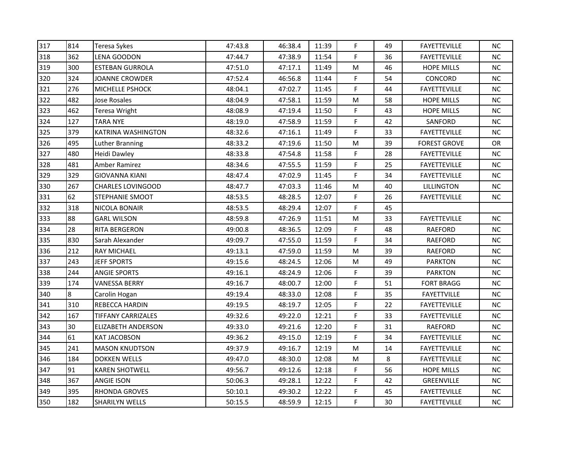| 317 | 814 | <b>Teresa Sykes</b>       | 47:43.8 | 46:38.4 | 11:39 | F.        | 49 | <b>FAYETTEVILLE</b> | NC.       |
|-----|-----|---------------------------|---------|---------|-------|-----------|----|---------------------|-----------|
| 318 | 362 | <b>LENA GOODON</b>        | 47:44.7 | 47:38.9 | 11:54 | F         | 36 | <b>FAYETTEVILLE</b> | <b>NC</b> |
| 319 | 300 | <b>ESTEBAN GURROLA</b>    | 47:51.0 | 47:17.1 | 11:49 | M         | 46 | <b>HOPE MILLS</b>   | <b>NC</b> |
| 320 | 324 | JOANNE CROWDER            | 47:52.4 | 46:56.8 | 11:44 | F         | 54 | CONCORD             | NC.       |
| 321 | 276 | MICHELLE PSHOCK           | 48:04.1 | 47:02.7 | 11:45 | F         | 44 | <b>FAYETTEVILLE</b> | ΝC        |
| 322 | 482 | Jose Rosales              | 48:04.9 | 47:58.1 | 11:59 | M         | 58 | <b>HOPE MILLS</b>   | NC.       |
| 323 | 462 | Teresa Wright             | 48:08.9 | 47:19.4 | 11:50 | F         | 43 | <b>HOPE MILLS</b>   | NC.       |
| 324 | 127 | <b>TARA NYE</b>           | 48:19.0 | 47:58.9 | 11:59 | F         | 42 | SANFORD             | NC        |
| 325 | 379 | KATRINA WASHINGTON        | 48:32.6 | 47:16.1 | 11:49 | F         | 33 | <b>FAYETTEVILLE</b> | <b>NC</b> |
| 326 | 495 | Luther Branning           | 48:33.2 | 47:19.6 | 11:50 | M         | 39 | <b>FOREST GROVE</b> | 0R        |
| 327 | 480 | Heidi Dawley              | 48:33.8 | 47:54.8 | 11:58 | F         | 28 | <b>FAYETTEVILLE</b> | <b>NC</b> |
| 328 | 481 | Amber Ramirez             | 48:34.6 | 47:55.5 | 11:59 | F         | 25 | <b>FAYETTEVILLE</b> | NC.       |
| 329 | 329 | <b>GIOVANNA KIANI</b>     | 48:47.4 | 47:02.9 | 11:45 | F         | 34 | <b>FAYETTEVILLE</b> | $NC$      |
| 330 | 267 | <b>CHARLES LOVINGOOD</b>  | 48:47.7 | 47:03.3 | 11:46 | M         | 40 | LILLINGTON          | <b>NC</b> |
| 331 | 62  | STEPHANIE SMOOT           | 48:53.5 | 48:28.5 | 12:07 | F         | 26 | <b>FAYETTEVILLE</b> | NC.       |
| 332 | 318 | NICOLA BONAIR             | 48:53.5 | 48:29.4 | 12:07 | F         | 45 |                     |           |
| 333 | 88  | <b>GARL WILSON</b>        | 48:59.8 | 47:26.9 | 11:51 | M         | 33 | <b>FAYETTEVILLE</b> | NC        |
| 334 | 28  | <b>RITA BERGERON</b>      | 49:00.8 | 48:36.5 | 12:09 | F         | 48 | <b>RAEFORD</b>      | NC        |
| 335 | 830 | Sarah Alexander           | 49:09.7 | 47:55.0 | 11:59 | F         | 34 | <b>RAEFORD</b>      | NC.       |
| 336 | 212 | RAY MICHAEL               | 49:13.1 | 47:59.0 | 11:59 | ${\sf M}$ | 39 | <b>RAEFORD</b>      | <b>NC</b> |
| 337 | 243 | <b>JEFF SPORTS</b>        | 49:15.6 | 48:24.5 | 12:06 | M         | 49 | <b>PARKTON</b>      | NC        |
| 338 | 244 | <b>ANGIE SPORTS</b>       | 49:16.1 | 48:24.9 | 12:06 | F         | 39 | <b>PARKTON</b>      | <b>NC</b> |
| 339 | 174 | <b>VANESSA BERRY</b>      | 49:16.7 | 48:00.7 | 12:00 | F         | 51 | <b>FORT BRAGG</b>   | NC        |
| 340 | 8   | Carolin Hogan             | 49:19.4 | 48:33.0 | 12:08 | F         | 35 | <b>FAYETTVILLE</b>  | NC        |
| 341 | 310 | REBECCA HARDIN            | 49:19.5 | 48:19.7 | 12:05 | F         | 22 | <b>FAYETTEVILLE</b> | NC.       |
| 342 | 167 | <b>TIFFANY CARRIZALES</b> | 49:32.6 | 49:22.0 | 12:21 | F         | 33 | <b>FAYETTEVILLE</b> | NC        |
| 343 | 30  | <b>ELIZABETH ANDERSON</b> | 49:33.0 | 49:21.6 | 12:20 | F         | 31 | RAEFORD             | NC.       |
| 344 | 61  | <b>KAT JACOBSON</b>       | 49:36.2 | 49:15.0 | 12:19 | F         | 34 | <b>FAYETTEVILLE</b> | <b>NC</b> |
| 345 | 241 | <b>MASON KNUDTSON</b>     | 49:37.9 | 49:16.7 | 12:19 | ${\sf M}$ | 14 | <b>FAYETTEVILLE</b> | <b>NC</b> |
| 346 | 184 | <b>DOKKEN WELLS</b>       | 49:47.0 | 48:30.0 | 12:08 | M         | 8  | <b>FAYETTEVILLE</b> | <b>NC</b> |
| 347 | 91  | <b>KAREN SHOTWELL</b>     | 49:56.7 | 49:12.6 | 12:18 | F         | 56 | <b>HOPE MILLS</b>   | NC.       |
| 348 | 367 | <b>ANGIE ISON</b>         | 50:06.3 | 49:28.1 | 12:22 | F         | 42 | GREENVILLE          | NC.       |
| 349 | 395 | RHONDA GROVES             | 50:10.1 | 49:30.2 | 12:22 | F         | 45 | <b>FAYETTEVILLE</b> | <b>NC</b> |
| 350 | 182 | <b>SHARILYN WELLS</b>     | 50:15.5 | 48:59.9 | 12:15 | F.        | 30 | <b>FAYETTEVILLE</b> | NC        |
|     |     |                           |         |         |       |           |    |                     |           |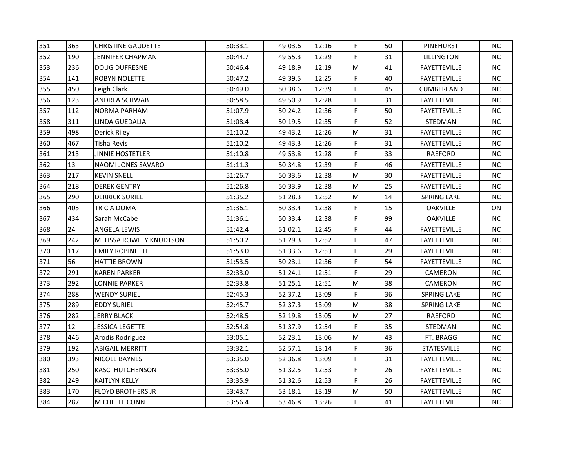| 351 | 363 | <b>CHRISTINE GAUDETTE</b> | 50:33.1 | 49:03.6 | 12:16 | F         | 50 | <b>PINEHURST</b>    | NC.       |
|-----|-----|---------------------------|---------|---------|-------|-----------|----|---------------------|-----------|
| 352 | 190 | <b>JENNIFER CHAPMAN</b>   | 50:44.7 | 49:55.3 | 12:29 | F         | 31 | <b>LILLINGTON</b>   | <b>NC</b> |
| 353 | 236 | <b>DOUG DUFRESNE</b>      | 50:46.4 | 49:18.9 | 12:19 | М         | 41 | <b>FAYETTEVILLE</b> | NC.       |
| 354 | 141 | <b>ROBYN NOLETTE</b>      | 50:47.2 | 49:39.5 | 12:25 | F         | 40 | <b>FAYETTEVILLE</b> | NC.       |
| 355 | 450 | Leigh Clark               | 50:49.0 | 50:38.6 | 12:39 | F         | 45 | CUMBERLAND          | <b>NC</b> |
| 356 | 123 | ANDREA SCHWAB             | 50:58.5 | 49:50.9 | 12:28 | F         | 31 | <b>FAYETTEVILLE</b> | NС        |
| 357 | 112 | <b>NORMA PARHAM</b>       | 51:07.9 | 50:24.2 | 12:36 | F         | 50 | <b>FAYETTEVILLE</b> | NC.       |
| 358 | 311 | LINDA GUEDALIA            | 51:08.4 | 50:19.5 | 12:35 | F         | 52 | STEDMAN             | <b>NC</b> |
| 359 | 498 | Derick Riley              | 51:10.2 | 49:43.2 | 12:26 | ${\sf M}$ | 31 | <b>FAYETTEVILLE</b> | <b>NC</b> |
| 360 | 467 | <b>Tisha Revis</b>        | 51:10.2 | 49:43.3 | 12:26 | F         | 31 | FAYETTEVILLE        | <b>NC</b> |
| 361 | 213 | <b>JINNIE HOSTETLER</b>   | 51:10.8 | 49:53.8 | 12:28 | F         | 33 | RAEFORD             | NC.       |
| 362 | 13  | NAOMI JONES SAVARO        | 51:11.3 | 50:34.8 | 12:39 | F         | 46 | <b>FAYETTEVILLE</b> | <b>NC</b> |
| 363 | 217 | <b>KEVIN SNELL</b>        | 51:26.7 | 50:33.6 | 12:38 | ${\sf M}$ | 30 | FAYETTEVILLE        | <b>NC</b> |
| 364 | 218 | <b>DEREK GENTRY</b>       | 51:26.8 | 50:33.9 | 12:38 | M         | 25 | <b>FAYETTEVILLE</b> | NC.       |
| 365 | 290 | <b>DERRICK SURIEL</b>     | 51:35.2 | 51:28.3 | 12:52 | м         | 14 | <b>SPRING LAKE</b>  | <b>NC</b> |
| 366 | 405 | TRICIA DOMA               | 51:36.1 | 50:33.4 | 12:38 | F         | 15 | <b>OAKVILLE</b>     | ON        |
| 367 | 434 | Sarah McCabe              | 51:36.1 | 50:33.4 | 12:38 | F         | 99 | <b>OAKVILLE</b>     | NC.       |
| 368 | 24  | <b>ANGELA LEWIS</b>       | 51:42.4 | 51:02.1 | 12:45 | F         | 44 | <b>FAYETTEVILLE</b> | <b>NC</b> |
| 369 | 242 | MELISSA ROWLEY KNUDTSON   | 51:50.2 | 51:29.3 | 12:52 | F         | 47 | <b>FAYETTEVILLE</b> | <b>NC</b> |
| 370 | 117 | <b>EMILY ROBINETTE</b>    | 51:53.0 | 51:33.6 | 12:53 | F         | 29 | <b>FAYETTEVILLE</b> | NC.       |
| 371 | 56  | <b>HATTIE BROWN</b>       | 51:53.5 | 50:23.1 | 12:36 | F         | 54 | <b>FAYETTEVILLE</b> | NC.       |
| 372 | 291 | <b>KAREN PARKER</b>       | 52:33.0 | 51:24.1 | 12:51 | F         | 29 | CAMERON             | <b>NC</b> |
| 373 | 292 | <b>LONNIE PARKER</b>      | 52:33.8 | 51:25.1 | 12:51 | M         | 38 | CAMERON             | NC.       |
| 374 | 288 | <b>WENDY SURIEL</b>       | 52:45.3 | 52:37.2 | 13:09 | F         | 36 | <b>SPRING LAKE</b>  | NC.       |
| 375 | 289 | <b>EDDY SURIEL</b>        | 52:45.7 | 52:37.3 | 13:09 | M         | 38 | <b>SPRING LAKE</b>  | NC.       |
| 376 | 282 | <b>JERRY BLACK</b>        | 52:48.5 | 52:19.8 | 13:05 | M         | 27 | RAEFORD             | <b>NC</b> |
| 377 | 12  | <b>JESSICA LEGETTE</b>    | 52:54.8 | 51:37.9 | 12:54 | F         | 35 | STEDMAN             | NC.       |
| 378 | 446 | Arodis Rodriguez          | 53:05.1 | 52:23.1 | 13:06 | М         | 43 | FT. BRAGG           | NC        |
| 379 | 192 | <b>ABIGAIL MERRITT</b>    | 53:32.1 | 52:57.1 | 13:14 | F         | 36 | <b>STATESVILLE</b>  | <b>NC</b> |
| 380 | 393 | NICOLE BAYNES             | 53:35.0 | 52:36.8 | 13:09 | F         | 31 | <b>FAYETTEVILLE</b> | NC.       |
| 381 | 250 | <b>KASCI HUTCHENSON</b>   | 53:35.0 | 51:32.5 | 12:53 | F         | 26 | FAYETTEVILLE        | <b>NC</b> |
| 382 | 249 | KAITLYN KELLY             | 53:35.9 | 51:32.6 | 12:53 | F         | 26 | <b>FAYETTEVILLE</b> | NC.       |
| 383 | 170 | <b>FLOYD BROTHERS JR</b>  | 53:43.7 | 53:18.1 | 13:19 | M         | 50 | <b>FAYETTEVILLE</b> | <b>NC</b> |
| 384 | 287 | MICHELLE CONN             | 53:56.4 | 53:46.8 | 13:26 | F.        | 41 | <b>FAYETTEVILLE</b> | <b>NC</b> |
|     |     |                           |         |         |       |           |    |                     |           |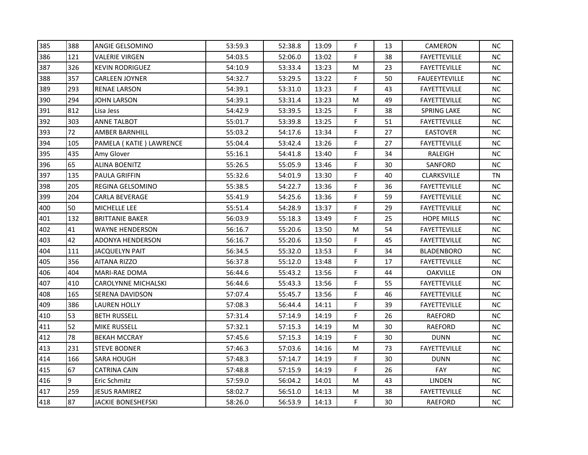| 385 | 388 | ANGIE GELSOMINO            | 53:59.3 | 52:38.8 | 13:09 | F  | 13 | CAMERON              | NC.       |
|-----|-----|----------------------------|---------|---------|-------|----|----|----------------------|-----------|
| 386 | 121 | <b>VALERIE VIRGEN</b>      | 54:03.5 | 52:06.0 | 13:02 | F  | 38 | <b>FAYETTEVILLE</b>  | NC.       |
| 387 | 326 | KEVIN RODRIGUEZ            | 54:10.9 | 53:33.4 | 13:23 | M  | 23 | <b>FAYETTEVILLE</b>  | NC.       |
| 388 | 357 | <b>CARLEEN JOYNER</b>      | 54:32.7 | 53:29.5 | 13:22 | F  | 50 | <b>FAUEEYTEVILLE</b> | NC.       |
| 389 | 293 | <b>RENAE LARSON</b>        | 54:39.1 | 53:31.0 | 13:23 | F  | 43 | FAYETTEVILLE         | NC.       |
| 390 | 294 | JOHN LARSON                | 54:39.1 | 53:31.4 | 13:23 | M  | 49 | <b>FAYETTEVILLE</b>  | NC.       |
| 391 | 812 | Lisa Jess                  | 54:42.9 | 53:39.5 | 13:25 | F  | 38 | SPRING LAKE          | NC.       |
| 392 | 303 | <b>ANNE TALBOT</b>         | 55:01.7 | 53:39.8 | 13:25 | F  | 51 | <b>FAYETTEVILLE</b>  | <b>NC</b> |
| 393 | 72  | <b>AMBER BARNHILL</b>      | 55:03.2 | 54:17.6 | 13:34 | F  | 27 | <b>EASTOVER</b>      | NC        |
| 394 | 105 | PAMELA (KATIE) LAWRENCE    | 55:04.4 | 53:42.4 | 13:26 | F  | 27 | <b>FAYETTEVILLE</b>  | <b>NC</b> |
| 395 | 435 | Amy Glover                 | 55:16.1 | 54:41.8 | 13:40 | F  | 34 | RALEIGH              | NC.       |
| 396 | 65  | <b>ALINA BOENITZ</b>       | 55:26.5 | 55:05.9 | 13:46 | F  | 30 | SANFORD              | NC        |
| 397 | 135 | <b>PAULA GRIFFIN</b>       | 55:32.6 | 54:01.9 | 13:30 | F  | 40 | CLARKSVILLE          | <b>TN</b> |
| 398 | 205 | REGINA GELSOMINO           | 55:38.5 | 54:22.7 | 13:36 | F  | 36 | <b>FAYETTEVILLE</b>  | NC.       |
| 399 | 204 | <b>CARLA BEVERAGE</b>      | 55:41.9 | 54:25.6 | 13:36 | F. | 59 | <b>FAYETTEVILLE</b>  | NC.       |
| 400 | 50  | MICHELLE LEE               | 55:51.4 | 54:28.9 | 13:37 | F  | 29 | <b>FAYETTEVILLE</b>  | NC.       |
| 401 | 132 | <b>BRITTANIE BAKER</b>     | 56:03.9 | 55:18.3 | 13:49 | F  | 25 | <b>HOPE MILLS</b>    | NC.       |
| 402 | 41  | <b>WAYNE HENDERSON</b>     | 56:16.7 | 55:20.6 | 13:50 | M  | 54 | <b>FAYETTEVILLE</b>  | $NC$      |
| 403 | 42  | <b>ADONYA HENDERSON</b>    | 56:16.7 | 55:20.6 | 13:50 | F  | 45 | <b>FAYETTEVILLE</b>  | NC.       |
| 404 | 111 | <b>JACQUELYN PAIT</b>      | 56:34.5 | 55:32.0 | 13:53 | F  | 34 | <b>BLADENBORO</b>    | NC.       |
| 405 | 356 | <b>AITANA RIZZO</b>        | 56:37.8 | 55:12.0 | 13:48 | F  | 17 | <b>FAYETTEVILLE</b>  | NC.       |
| 406 | 404 | <b>MARI-RAE DOMA</b>       | 56:44.6 | 55:43.2 | 13:56 | F  | 44 | <b>OAKVILLE</b>      | ON        |
| 407 | 410 | <b>CAROLYNNE MICHALSKI</b> | 56:44.6 | 55:43.3 | 13:56 | F  | 55 | <b>FAYETTEVILLE</b>  | NC.       |
| 408 | 165 | SERENA DAVIDSON            | 57:07.4 | 55:45.7 | 13:56 | F. | 46 | <b>FAYETTEVILLE</b>  | NC.       |
| 409 | 386 | <b>LAUREN HOLLY</b>        | 57:08.3 | 56:44.4 | 14:11 | F  | 39 | <b>FAYETTEVILLE</b>  | NC.       |
| 410 | 53  | <b>BETH RUSSELL</b>        | 57:31.4 | 57:14.9 | 14:19 | F  | 26 | RAEFORD              | NC        |
| 411 | 52  | MIKE RUSSELL               | 57:32.1 | 57:15.3 | 14:19 | M  | 30 | RAEFORD              | NC.       |
| 412 | 78  | <b>BEKAH MCCRAY</b>        | 57:45.6 | 57:15.3 | 14:19 | F  | 30 | <b>DUNN</b>          | NC.       |
| 413 | 231 | <b>STEVE BODNER</b>        | 57:46.3 | 57:03.6 | 14:16 | M  | 73 | <b>FAYETTEVILLE</b>  | <b>NC</b> |
| 414 | 166 | <b>SARA HOUGH</b>          | 57:48.3 | 57:14.7 | 14:19 | F  | 30 | <b>DUNN</b>          | NC.       |
| 415 | 67  | <b>CATRINA CAIN</b>        | 57:48.8 | 57:15.9 | 14:19 | F  | 26 | FAY                  | <b>NC</b> |
| 416 | 9   | Eric Schmitz               | 57:59.0 | 56:04.2 | 14:01 | М  | 43 | LINDEN               | NC.       |
| 417 | 259 | JESUS RAMIREZ              | 58:02.7 | 56:51.0 | 14:13 | M  | 38 | <b>FAYETTEVILLE</b>  | <b>NC</b> |
| 418 | 87  | <b>JACKIE BONESHEFSKI</b>  | 58:26.0 | 56:53.9 | 14:13 | F. | 30 | RAEFORD              | NC        |
|     |     |                            |         |         |       |    |    |                      |           |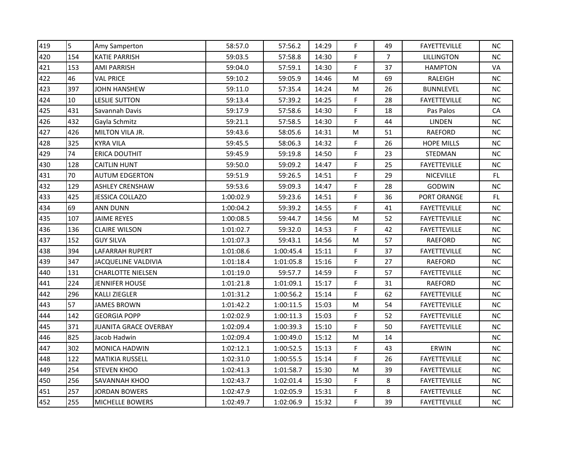| 419 | 5   | Amy Samperton              | 58:57.0   | 57:56.2   | 14:29 | F  | 49             | <b>FAYETTEVILLE</b> | NC.       |
|-----|-----|----------------------------|-----------|-----------|-------|----|----------------|---------------------|-----------|
| 420 | 154 | <b>KATIE PARRISH</b>       | 59:03.5   | 57:58.8   | 14:30 | F  | $\overline{7}$ | <b>LILLINGTON</b>   | NC        |
| 421 | 153 | <b>AMI PARRISH</b>         | 59:04.0   | 57:59.1   | 14:30 | F  | 37             | <b>HAMPTON</b>      | VA        |
| 422 | 46  | <b>VAL PRICE</b>           | 59:10.2   | 59:05.9   | 14:46 | M  | 69             | RALEIGH             | NC.       |
| 423 | 397 | JOHN HANSHEW               | 59:11.0   | 57:35.4   | 14:24 | M  | 26             | <b>BUNNLEVEL</b>    | <b>NC</b> |
| 424 | 10  | LESLIE SUTTON              | 59:13.4   | 57:39.2   | 14:25 | F  | 28             | <b>FAYETTEVILLE</b> | NC.       |
| 425 | 431 | Savannah Davis             | 59:17.9   | 57:58.6   | 14:30 | F  | 18             | Pas Palos           | СA        |
| 426 | 432 | Gayla Schmitz              | 59:21.1   | 57:58.5   | 14:30 | F. | 44             | <b>LINDEN</b>       | NC        |
| 427 | 426 | MILTON VILA JR.            | 59:43.6   | 58:05.6   | 14:31 | M  | 51             | <b>RAEFORD</b>      | NC.       |
| 428 | 325 | <b>KYRA VILA</b>           | 59:45.5   | 58:06.3   | 14:32 | F  | 26             | <b>HOPE MILLS</b>   | NC.       |
| 429 | 74  | ERICA DOUTHIT              | 59:45.9   | 59:19.8   | 14:50 | F  | 23             | <b>STEDMAN</b>      | NC.       |
| 430 | 128 | <b>CAITLIN HUNT</b>        | 59:50.0   | 59:09.2   | 14:47 | F  | 25             | <b>FAYETTEVILLE</b> | <b>NC</b> |
| 431 | 70  | <b>AUTUM EDGERTON</b>      | 59:51.9   | 59:26.5   | 14:51 | F. | 29             | <b>NICEVILLE</b>    | FL.       |
| 432 | 129 | <b>ASHLEY CRENSHAW</b>     | 59:53.6   | 59:09.3   | 14:47 | F  | 28             | GODWIN              | NC.       |
| 433 | 425 | JESSICA COLLAZO            | 1:00:02.9 | 59:23.6   | 14:51 | F  | 36             | PORT ORANGE         | FL        |
| 434 | 69  | ANN DUNN                   | 1:00:04.2 | 59:39.2   | 14:55 | F  | 41             | <b>FAYETTEVILLE</b> | NC.       |
| 435 | 107 | JAIME REYES                | 1:00:08.5 | 59:44.7   | 14:56 | M  | 52             | <b>FAYETTEVILLE</b> | NC.       |
| 436 | 136 | <b>CLAIRE WILSON</b>       | 1:01:02.7 | 59:32.0   | 14:53 | F  | 42             | <b>FAYETTEVILLE</b> | <b>NC</b> |
| 437 | 152 | <b>GUY SILVA</b>           | 1:01:07.3 | 59:43.1   | 14:56 | M  | 57             | <b>RAEFORD</b>      | <b>NC</b> |
| 438 | 394 | LAFARRAH RUPERT            | 1:01:08.6 | 1:00:45.4 | 15:11 | F  | 37             | <b>FAYETTEVILLE</b> | NC.       |
| 439 | 347 | <b>JACQUELINE VALDIVIA</b> | 1:01:18.4 | 1:01:05.8 | 15:16 | F  | 27             | RAEFORD             | NC        |
| 440 | 131 | <b>CHARLOTTE NIELSEN</b>   | 1:01:19.0 | 59:57.7   | 14:59 | F  | 57             | FAYETTEVILLE        | NC.       |
| 441 | 224 | <b>JENNIFER HOUSE</b>      | 1:01:21.8 | 1:01:09.1 | 15:17 | F  | 31             | RAEFORD             | NC.       |
| 442 | 296 | KALLI ZIEGLER              | 1:01:31.2 | 1:00:56.2 | 15:14 | F  | 62             | <b>FAYETTEVILLE</b> | NC.       |
| 443 | 57  | JAMES BROWN                | 1:01:42.2 | 1:00:11.5 | 15:03 | M  | 54             | <b>FAYETTEVILLE</b> | NC.       |
| 444 | 142 | GEORGIA POPP               | 1:02:02.9 | 1:00:11.3 | 15:03 | F  | 52             | FAYETTEVILLE        | NC.       |
| 445 | 371 | JUANITA GRACE OVERBAY      | 1:02:09.4 | 1:00:39.3 | 15:10 | F  | 50             | <b>FAYETTEVILLE</b> | NC.       |
| 446 | 825 | Jacob Hadwin               | 1:02:09.4 | 1:00:49.0 | 15:12 | M  | 14             |                     | NC.       |
| 447 | 302 | <b>MONICA HADWIN</b>       | 1:02:12.1 | 1:00:52.5 | 15:13 | F  | 43             | ERWIN               | NC.       |
| 448 | 122 | <b>MATIKIA RUSSELL</b>     | 1:02:31.0 | 1:00:55.5 | 15:14 | F  | 26             | <b>FAYETTEVILLE</b> | NC.       |
| 449 | 254 | <b>STEVEN KHOO</b>         | 1:02:41.3 | 1:01:58.7 | 15:30 | M  | 39             | <b>FAYETTEVILLE</b> | NC.       |
| 450 | 256 | SAVANNAH KHOO              | 1:02:43.7 | 1:02:01.4 | 15:30 | F  | 8              | <b>FAYETTEVILLE</b> | NC.       |
| 451 | 257 | <b>JORDAN BOWERS</b>       | 1:02:47.9 | 1:02:05.9 | 15:31 | F  | 8              | <b>FAYETTEVILLE</b> | <b>NC</b> |
| 452 | 255 | MICHELLE BOWERS            | 1:02:49.7 | 1:02:06.9 | 15:32 | F  | 39             | <b>FAYETTEVILLE</b> | NC.       |
|     |     |                            |           |           |       |    |                |                     |           |